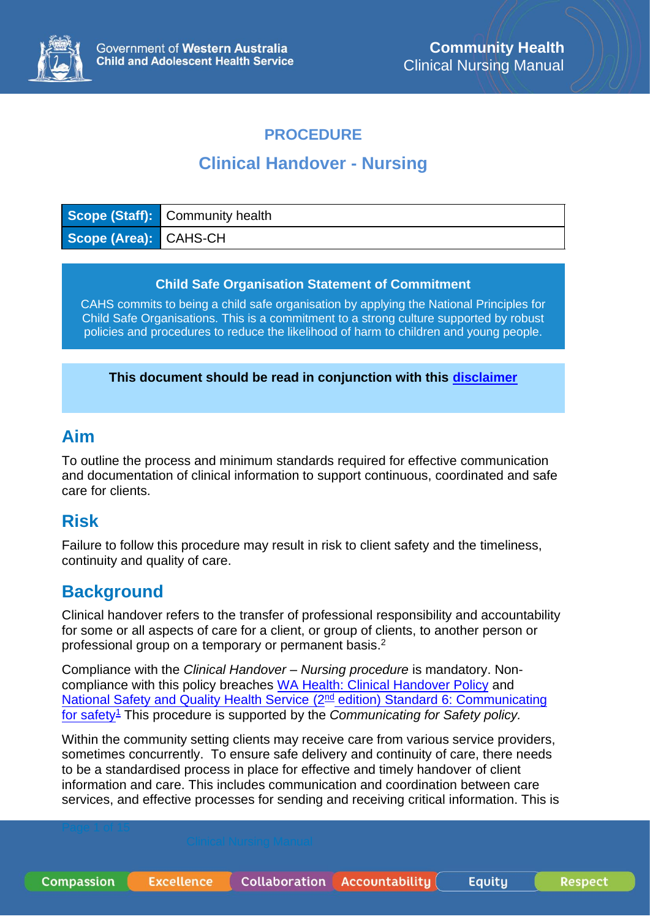

#### **PROCEDURE**

# **Clinical Handover - Nursing**

|                       | Scope (Staff): Community health |
|-----------------------|---------------------------------|
| Scope (Area): CAHS-CH |                                 |

#### **Child Safe Organisation Statement of Commitment**

CAHS commits to being a child safe organisation by applying the National Principles for Child Safe Organisations. This is a commitment to a strong culture supported by robust policies and procedures to reduce the likelihood of harm to children and young people.

**This document should be read in conjunction with this [disclaimer](https://www.cahs.health.wa.gov.au/For-health-professionals/Resources/CAHS-Clinical-Disclaimer)**

#### **Aim**

To outline the process and minimum standards required for effective communication and documentation of clinical information to support continuous, coordinated and safe care for clients.

### **Risk**

Failure to follow this procedure may result in risk to client safety and the timeliness, continuity and quality of care.

### **Background**

Clinical handover refers to the transfer of professional responsibility and accountability for some or all aspects of care for a client, or group of clients, to another person or professional group on a temporary or permanent basis.<sup>2</sup>

Compliance with the *Clinical Handover – Nursing procedure* is mandatory. Noncompliance with this policy breaches [WA Health: Clinical Handover Policy](https://ww2.health.wa.gov.au/~/media/Files/Corporate/Policy%20Frameworks/Clinical%20Governance%20Safety%20and%20Quality/Policy/Clinical%20Handover%20Policy/Clinical-Handover-Policy.pdf) and [National Safety and Quality Health Service \(2](https://www.safetyandquality.gov.au/sites/default/files/2019-04/National-Safety-and-Quality-Health-Service-Standards-second-edition.pdf)<sup>nd</sup> edition) Standard 6: Communicating [for safety](https://www.safetyandquality.gov.au/sites/default/files/2019-04/National-Safety-and-Quality-Health-Service-Standards-second-edition.pdf)<sup>1</sup> This procedure is supported by the *Communicating for Safety policy.*

Within the community setting clients may receive care from various service providers, sometimes concurrently. To ensure safe delivery and continuity of care, there needs to be a standardised process in place for effective and timely handover of client information and care. This includes communication and coordination between care services, and effective processes for sending and receiving critical information. This is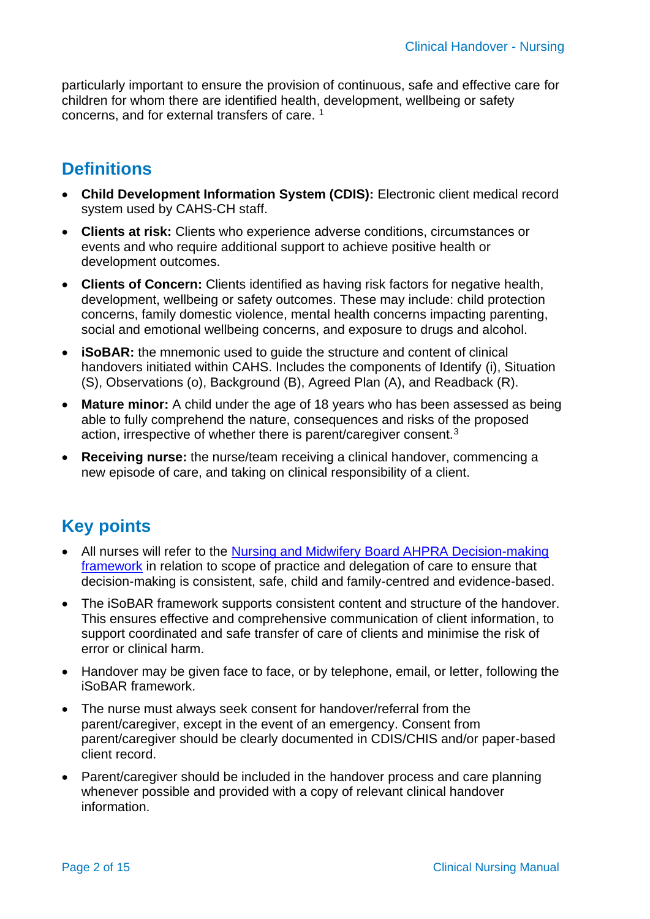particularly important to ensure the provision of continuous, safe and effective care for children for whom there are identified health, development, wellbeing or safety concerns, and for external transfers of care. <sup>1</sup>

# **Definitions**

- **Child Development Information System (CDIS):** Electronic client medical record system used by CAHS-CH staff.
- **Clients at risk:** Clients who experience adverse conditions, circumstances or events and who require additional support to achieve positive health or development outcomes.
- **Clients of Concern:** Clients identified as having risk factors for negative health, development, wellbeing or safety outcomes. These may include: child protection concerns, family domestic violence, mental health concerns impacting parenting, social and emotional wellbeing concerns, and exposure to drugs and alcohol.
- **iSoBAR:** the mnemonic used to guide the structure and content of clinical handovers initiated within CAHS. Includes the components of Identify (i), Situation (S), Observations (o), Background (B), Agreed Plan (A), and Readback (R).
- **Mature minor:** A child under the age of 18 years who has been assessed as being able to fully comprehend the nature, consequences and risks of the proposed action, irrespective of whether there is parent/caregiver consent.<sup>3</sup>
- **Receiving nurse:** the nurse/team receiving a clinical handover, commencing a new episode of care, and taking on clinical responsibility of a client.

## **Key points**

- All nurses will refer to the Nursing and Midwifery Board AHPRA Decision-making [framework](file:///C:/Users/he21299/Downloads/Nursing-and-Midwifery-Board---Framework---Decision-making-framework-for-nursing-and-midwifery---Advance-copy%20(3).PDF) in relation to scope of practice and delegation of care to ensure that decision-making is consistent, safe, child and family-centred and evidence-based.
- The iSoBAR framework supports consistent content and structure of the handover. This ensures effective and comprehensive communication of client information, to support coordinated and safe transfer of care of clients and minimise the risk of error or clinical harm.
- Handover may be given face to face, or by telephone, email, or letter, following the iSoBAR framework.
- The nurse must always seek consent for handover/referral from the parent/caregiver, except in the event of an emergency. Consent from parent/caregiver should be clearly documented in CDIS/CHIS and/or paper-based client record.
- Parent/caregiver should be included in the handover process and care planning whenever possible and provided with a copy of relevant clinical handover information.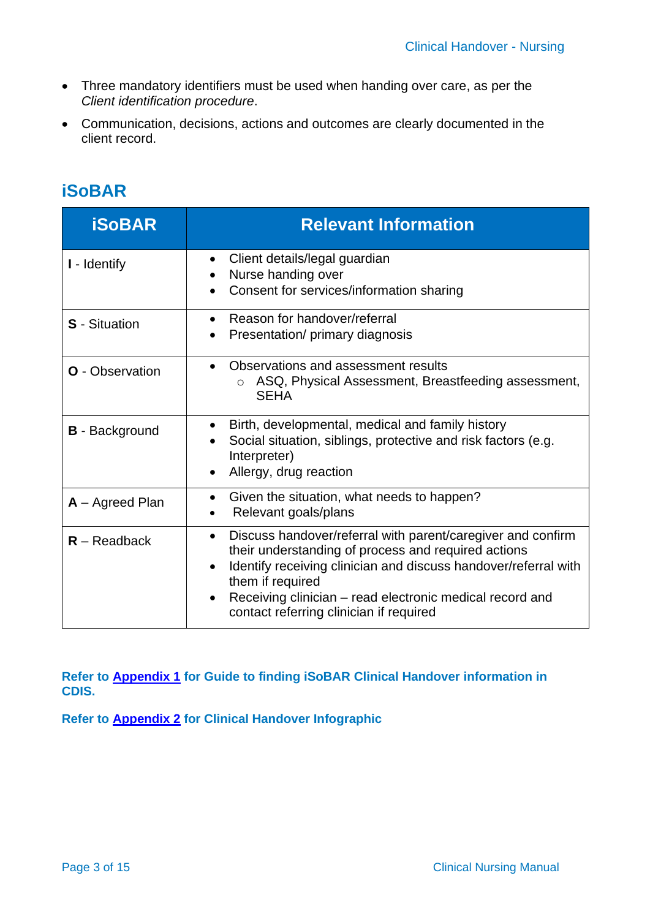- Three mandatory identifiers must be used when handing over care, as per the *Client identification procedure*.
- Communication, decisions, actions and outcomes are clearly documented in the client record.

| <b>iSoBAR</b>          | <b>Relevant Information</b>                                                                                                                                                                                                                                                                                                                |
|------------------------|--------------------------------------------------------------------------------------------------------------------------------------------------------------------------------------------------------------------------------------------------------------------------------------------------------------------------------------------|
| I - Identify           | Client details/legal guardian<br>$\bullet$<br>Nurse handing over<br>$\bullet$<br>Consent for services/information sharing                                                                                                                                                                                                                  |
| <b>S</b> - Situation   | Reason for handover/referral<br>$\bullet$<br>Presentation/ primary diagnosis<br>$\bullet$                                                                                                                                                                                                                                                  |
| <b>O</b> - Observation | Observations and assessment results<br>$\bullet$<br>ASQ, Physical Assessment, Breastfeeding assessment,<br><b>SEHA</b>                                                                                                                                                                                                                     |
| <b>B</b> - Background  | Birth, developmental, medical and family history<br>$\bullet$<br>Social situation, siblings, protective and risk factors (e.g.<br>Interpreter)<br>Allergy, drug reaction                                                                                                                                                                   |
| $A -$ Agreed Plan      | Given the situation, what needs to happen?<br>$\bullet$<br>Relevant goals/plans                                                                                                                                                                                                                                                            |
| $R - Readback$         | Discuss handover/referral with parent/caregiver and confirm<br>$\bullet$<br>their understanding of process and required actions<br>Identify receiving clinician and discuss handover/referral with<br>them if required<br>Receiving clinician - read electronic medical record and<br>$\bullet$<br>contact referring clinician if required |

# **iSoBAR**

**Refer to [Appendix 1](#page-12-0) for Guide to finding iSoBAR Clinical Handover information in CDIS.**

**Refer to [Appendix 2](#page-14-0) for Clinical Handover Infographic**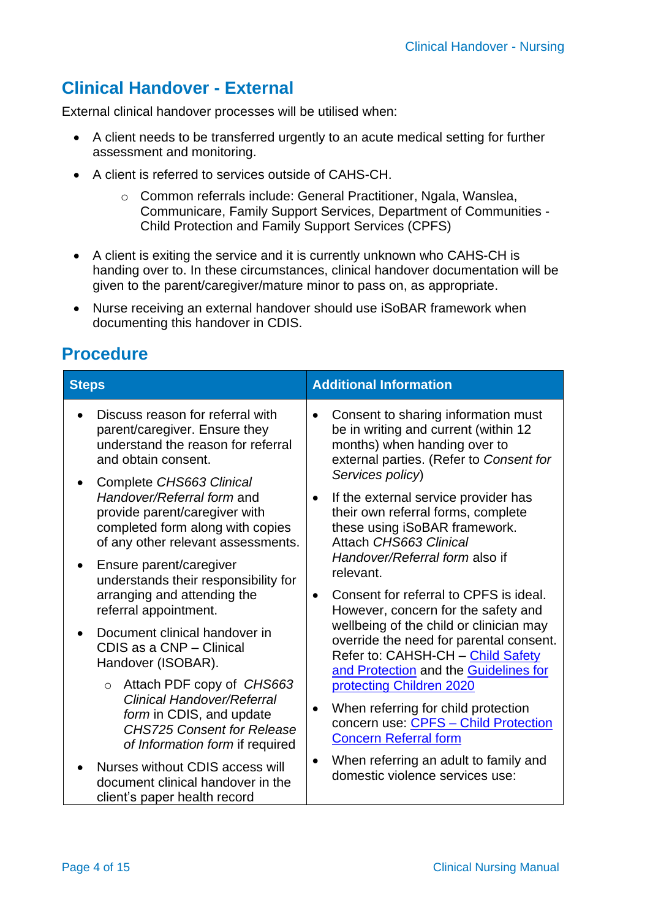# **Clinical Handover - External**

External clinical handover processes will be utilised when:

- A client needs to be transferred urgently to an acute medical setting for further assessment and monitoring.
- A client is referred to services outside of CAHS-CH.
	- o Common referrals include: General Practitioner, Ngala, Wanslea, Communicare, Family Support Services, Department of Communities - Child Protection and Family Support Services (CPFS)
- A client is exiting the service and it is currently unknown who CAHS-CH is handing over to. In these circumstances, clinical handover documentation will be given to the parent/caregiver/mature minor to pass on, as appropriate.
- Nurse receiving an external handover should use iSoBAR framework when documenting this handover in CDIS.

# **Procedure**

| <b>Steps</b>                                                                                                                                                                  | <b>Additional Information</b>                                                                                                                                                                                                                                                             |  |
|-------------------------------------------------------------------------------------------------------------------------------------------------------------------------------|-------------------------------------------------------------------------------------------------------------------------------------------------------------------------------------------------------------------------------------------------------------------------------------------|--|
| Discuss reason for referral with<br>parent/caregiver. Ensure they<br>understand the reason for referral<br>and obtain consent.                                                | Consent to sharing information must<br>$\bullet$<br>be in writing and current (within 12<br>months) when handing over to<br>external parties. (Refer to Consent for                                                                                                                       |  |
| Complete CHS663 Clinical<br>Handover/Referral form and<br>provide parent/caregiver with<br>completed form along with copies<br>of any other relevant assessments.             | Services policy)<br>If the external service provider has<br>their own referral forms, complete<br>these using iSoBAR framework.<br>Attach CHS663 Clinical<br>Handover/Referral form also if<br>relevant.<br>Consent for referral to CPFS is ideal.<br>However, concern for the safety and |  |
| Ensure parent/caregiver<br>understands their responsibility for<br>arranging and attending the<br>referral appointment.                                                       |                                                                                                                                                                                                                                                                                           |  |
| Document clinical handover in<br>CDIS as a CNP - Clinical<br>Handover (ISOBAR).                                                                                               | wellbeing of the child or clinician may<br>override the need for parental consent.<br>Refer to: CAHSH-CH - Child Safety<br>and Protection and the Guidelines for                                                                                                                          |  |
| Attach PDF copy of CHS663<br>$\circ$<br><b>Clinical Handover/Referral</b><br>form in CDIS, and update<br><b>CHS725 Consent for Release</b><br>of Information form if required | protecting Children 2020<br>When referring for child protection<br>$\bullet$<br>concern use: CPFS - Child Protection<br><b>Concern Referral form</b>                                                                                                                                      |  |
| Nurses without CDIS access will<br>document clinical handover in the<br>client's paper health record                                                                          | When referring an adult to family and<br>$\bullet$<br>domestic violence services use:                                                                                                                                                                                                     |  |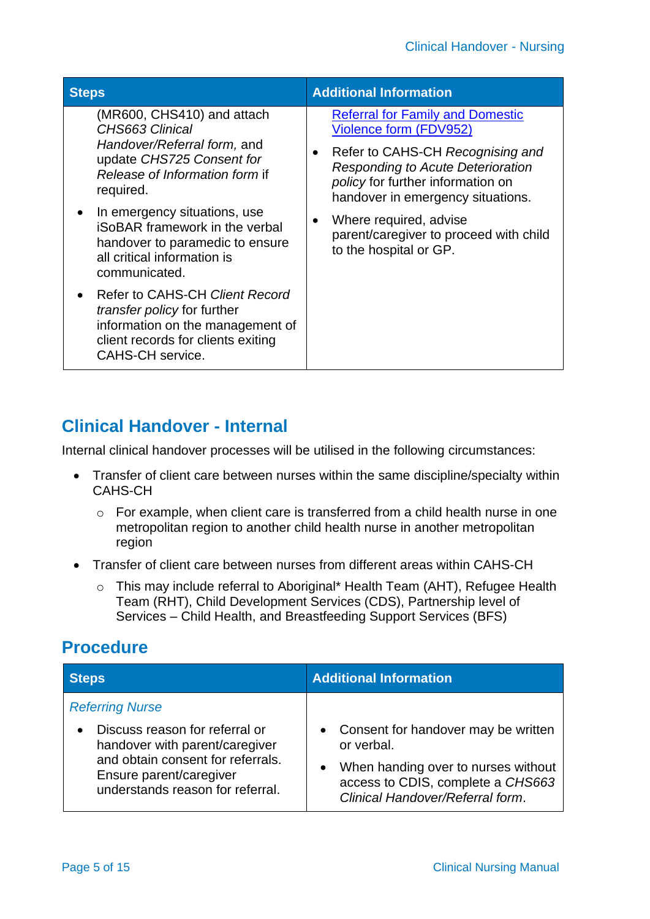| <b>Steps</b>                                                                                                                                                       | <b>Additional Information</b>                                                                                                                                  |  |
|--------------------------------------------------------------------------------------------------------------------------------------------------------------------|----------------------------------------------------------------------------------------------------------------------------------------------------------------|--|
| (MR600, CHS410) and attach<br>CHS663 Clinical<br>Handover/Referral form, and<br>update CHS725 Consent for                                                          | <b>Referral for Family and Domestic</b><br>Violence form (FDV952)<br>Refer to CAHS-CH Recognising and<br>$\bullet$<br><b>Responding to Acute Deterioration</b> |  |
| Release of Information form if<br>required.                                                                                                                        | policy for further information on<br>handover in emergency situations.                                                                                         |  |
| In emergency situations, use<br><b>iSoBAR</b> framework in the verbal<br>handover to paramedic to ensure<br>all critical information is<br>communicated.           | Where required, advise<br>$\bullet$<br>parent/caregiver to proceed with child<br>to the hospital or GP.                                                        |  |
| Refer to CAHS-CH Client Record<br>transfer policy for further<br>information on the management of<br>client records for clients exiting<br><b>CAHS-CH</b> service. |                                                                                                                                                                |  |

### **Clinical Handover - Internal**

Internal clinical handover processes will be utilised in the following circumstances:

- Transfer of client care between nurses within the same discipline/specialty within CAHS-CH
	- o For example, when client care is transferred from a child health nurse in one metropolitan region to another child health nurse in another metropolitan region
- Transfer of client care between nurses from different areas within CAHS-CH
	- o This may include referral to Aboriginal\* Health Team (AHT), Refugee Health Team (RHT), Child Development Services (CDS), Partnership level of Services – Child Health, and Breastfeeding Support Services (BFS)

## **Procedure**

| <b>Steps</b>                                                                                                                                                         | <b>Additional Information</b>                                                                                                                                         |  |
|----------------------------------------------------------------------------------------------------------------------------------------------------------------------|-----------------------------------------------------------------------------------------------------------------------------------------------------------------------|--|
| <b>Referring Nurse</b>                                                                                                                                               |                                                                                                                                                                       |  |
| Discuss reason for referral or<br>handover with parent/caregiver<br>and obtain consent for referrals.<br>Ensure parent/caregiver<br>understands reason for referral. | • Consent for handover may be written<br>or verbal.<br>• When handing over to nurses without<br>access to CDIS, complete a CHS663<br>Clinical Handover/Referral form. |  |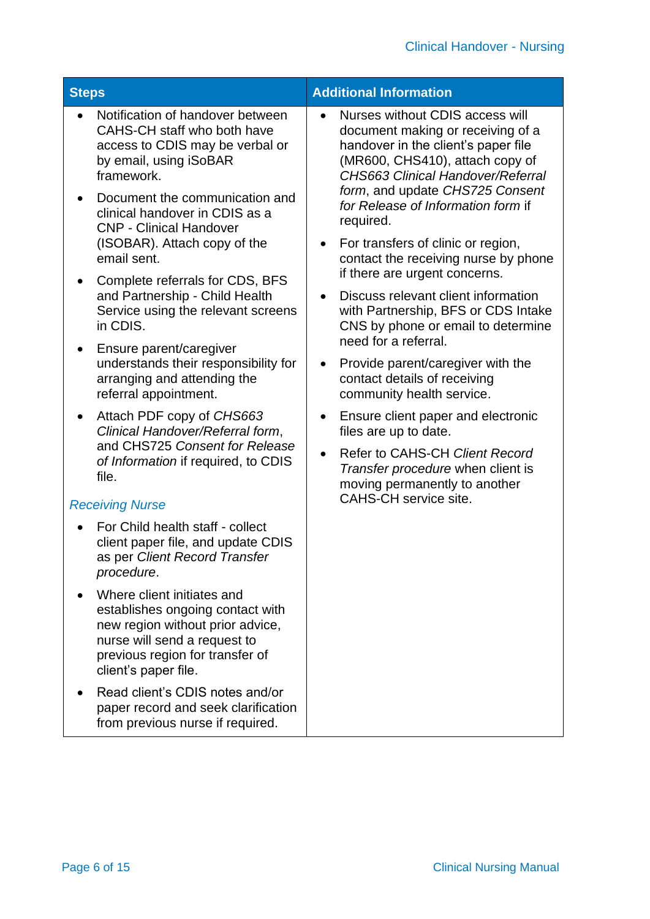| <b>Steps</b>                                                                                                                                                                                                                                                                                                                                                                                                                                                                                                                                                                                                                                                                                                                                                                                                                                                                                                                                                                                                                                                                                                                                                                                     | <b>Additional Information</b>                                                                                                                                                                                                                                                                                                                                                                                                                                                                                                                                                                                                                                                                                                                                                                                                                                                                                  |  |  |
|--------------------------------------------------------------------------------------------------------------------------------------------------------------------------------------------------------------------------------------------------------------------------------------------------------------------------------------------------------------------------------------------------------------------------------------------------------------------------------------------------------------------------------------------------------------------------------------------------------------------------------------------------------------------------------------------------------------------------------------------------------------------------------------------------------------------------------------------------------------------------------------------------------------------------------------------------------------------------------------------------------------------------------------------------------------------------------------------------------------------------------------------------------------------------------------------------|----------------------------------------------------------------------------------------------------------------------------------------------------------------------------------------------------------------------------------------------------------------------------------------------------------------------------------------------------------------------------------------------------------------------------------------------------------------------------------------------------------------------------------------------------------------------------------------------------------------------------------------------------------------------------------------------------------------------------------------------------------------------------------------------------------------------------------------------------------------------------------------------------------------|--|--|
| Notification of handover between<br>CAHS-CH staff who both have<br>access to CDIS may be verbal or<br>by email, using iSoBAR<br>framework.<br>Document the communication and<br>clinical handover in CDIS as a<br><b>CNP - Clinical Handover</b><br>(ISOBAR). Attach copy of the<br>email sent.<br>Complete referrals for CDS, BFS<br>and Partnership - Child Health<br>Service using the relevant screens<br>in CDIS.<br>Ensure parent/caregiver<br>$\bullet$<br>understands their responsibility for<br>arranging and attending the<br>referral appointment.<br>Attach PDF copy of CHS663<br>$\bullet$<br>Clinical Handover/Referral form,<br>and CHS725 Consent for Release<br>of Information if required, to CDIS<br>file.<br><b>Receiving Nurse</b><br>For Child health staff - collect<br>client paper file, and update CDIS<br>as per Client Record Transfer<br>procedure.<br>Where client initiates and<br>establishes ongoing contact with<br>new region without prior advice,<br>nurse will send a request to<br>previous region for transfer of<br>client's paper file.<br>Read client's CDIS notes and/or<br>paper record and seek clarification<br>from previous nurse if required. | Nurses without CDIS access will<br>document making or receiving of a<br>handover in the client's paper file<br>(MR600, CHS410), attach copy of<br><b>CHS663 Clinical Handover/Referral</b><br>form, and update CHS725 Consent<br>for Release of Information form if<br>required.<br>For transfers of clinic or region,<br>$\bullet$<br>contact the receiving nurse by phone<br>if there are urgent concerns.<br>Discuss relevant client information<br>$\bullet$<br>with Partnership, BFS or CDS Intake<br>CNS by phone or email to determine<br>need for a referral.<br>Provide parent/caregiver with the<br>$\bullet$<br>contact details of receiving<br>community health service.<br>Ensure client paper and electronic<br>$\bullet$<br>files are up to date.<br>Refer to CAHS-CH Client Record<br>$\bullet$<br>Transfer procedure when client is<br>moving permanently to another<br>CAHS-CH service site. |  |  |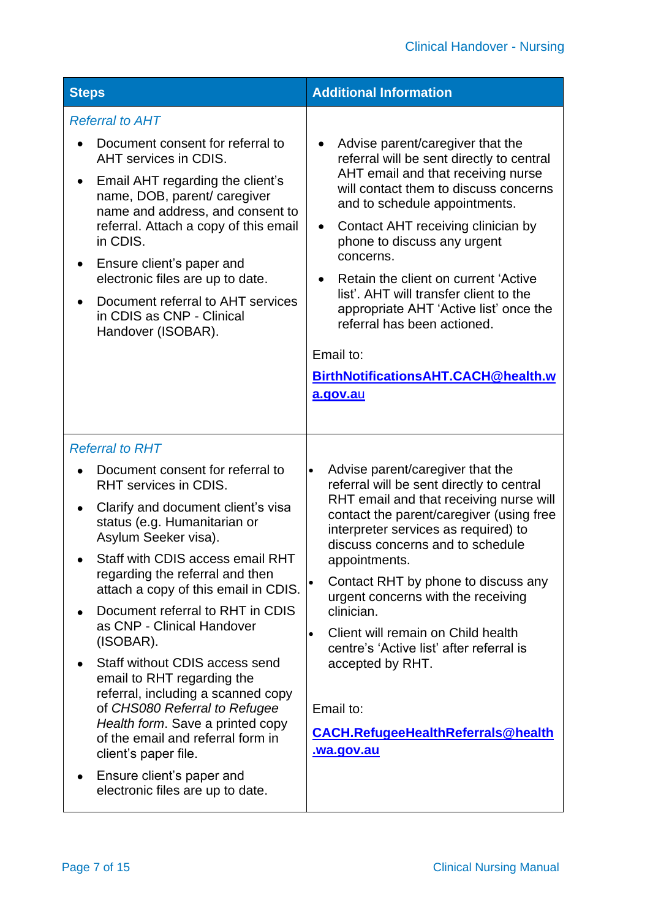| <b>Steps</b>                                                                                                                                                                                                                                                                                                                                                                                                                                                                                                                                                                                                                                                                                                       | <b>Additional Information</b>                                                                                                                                                                                                                                                                                                                                                                                                                                                                                                                                       |  |  |
|--------------------------------------------------------------------------------------------------------------------------------------------------------------------------------------------------------------------------------------------------------------------------------------------------------------------------------------------------------------------------------------------------------------------------------------------------------------------------------------------------------------------------------------------------------------------------------------------------------------------------------------------------------------------------------------------------------------------|---------------------------------------------------------------------------------------------------------------------------------------------------------------------------------------------------------------------------------------------------------------------------------------------------------------------------------------------------------------------------------------------------------------------------------------------------------------------------------------------------------------------------------------------------------------------|--|--|
| <b>Referral to AHT</b><br>Document consent for referral to<br>AHT services in CDIS.<br>Email AHT regarding the client's<br>$\bullet$<br>name, DOB, parent/caregiver<br>name and address, and consent to<br>referral. Attach a copy of this email<br>in CDIS.<br>Ensure client's paper and<br>٠<br>electronic files are up to date.<br>Document referral to AHT services<br>$\bullet$<br>in CDIS as CNP - Clinical<br>Handover (ISOBAR).                                                                                                                                                                                                                                                                            | Advise parent/caregiver that the<br>$\bullet$<br>referral will be sent directly to central<br>AHT email and that receiving nurse<br>will contact them to discuss concerns<br>and to schedule appointments.<br>Contact AHT receiving clinician by<br>$\bullet$<br>phone to discuss any urgent<br>concerns.<br>Retain the client on current 'Active<br>$\bullet$<br>list'. AHT will transfer client to the<br>appropriate AHT 'Active list' once the<br>referral has been actioned.<br>Email to:<br>BirthNotificationsAHT.CACH@health.w<br>a.gov.au                   |  |  |
| <b>Referral to RHT</b><br>Document consent for referral to<br>RHT services in CDIS.<br>Clarify and document client's visa<br>$\bullet$<br>status (e.g. Humanitarian or<br>Asylum Seeker visa).<br>Staff with CDIS access email RHT<br>regarding the referral and then<br>attach a copy of this email in CDIS.<br>Document referral to RHT in CDIS<br>as CNP - Clinical Handover<br>(ISOBAR).<br>Staff without CDIS access send<br>$\bullet$<br>email to RHT regarding the<br>referral, including a scanned copy<br>of CHS080 Referral to Refugee<br>Health form. Save a printed copy<br>of the email and referral form in<br>client's paper file.<br>Ensure client's paper and<br>electronic files are up to date. | Advise parent/caregiver that the<br>$\bullet$<br>referral will be sent directly to central<br>RHT email and that receiving nurse will<br>contact the parent/caregiver (using free<br>interpreter services as required) to<br>discuss concerns and to schedule<br>appointments.<br>Contact RHT by phone to discuss any<br>urgent concerns with the receiving<br>clinician.<br>Client will remain on Child health<br>$\bullet$<br>centre's 'Active list' after referral is<br>accepted by RHT.<br>Email to:<br><b>CACH.RefugeeHealthReferrals@health</b><br>wa.gov.au |  |  |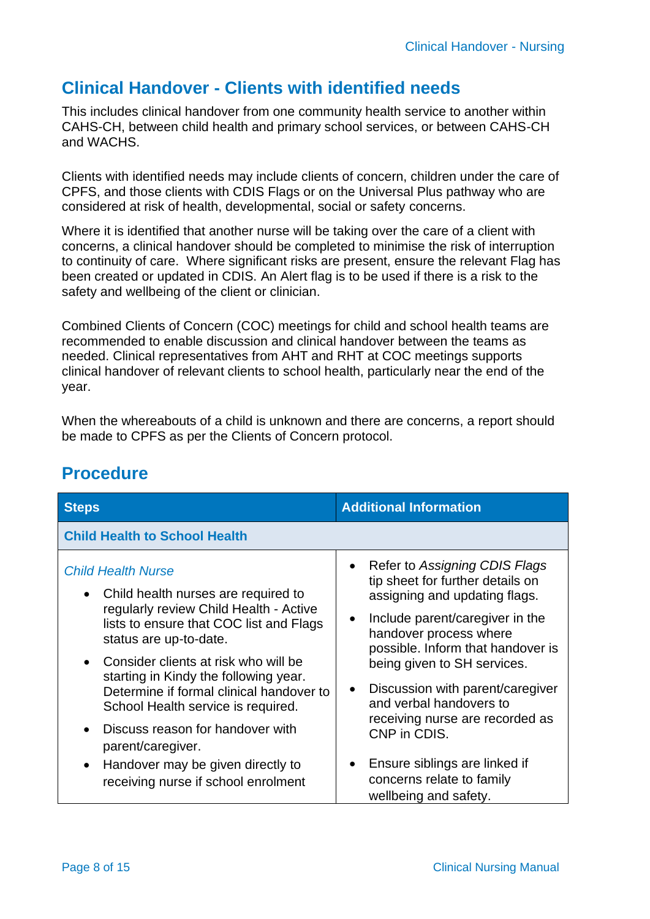### **Clinical Handover - Clients with identified needs**

This includes clinical handover from one community health service to another within CAHS-CH, between child health and primary school services, or between CAHS-CH and WACHS.

Clients with identified needs may include clients of concern, children under the care of CPFS, and those clients with CDIS Flags or on the Universal Plus pathway who are considered at risk of health, developmental, social or safety concerns.

Where it is identified that another nurse will be taking over the care of a client with concerns, a clinical handover should be completed to minimise the risk of interruption to continuity of care. Where significant risks are present, ensure the relevant Flag has been created or updated in CDIS. An Alert flag is to be used if there is a risk to the safety and wellbeing of the client or clinician.

Combined Clients of Concern (COC) meetings for child and school health teams are recommended to enable discussion and clinical handover between the teams as needed. Clinical representatives from AHT and RHT at COC meetings supports clinical handover of relevant clients to school health, particularly near the end of the year.

When the whereabouts of a child is unknown and there are concerns, a report should be made to CPFS as per the Clients of Concern protocol.

| <b>Steps</b>                             | <b>Additional Information</b>     |  |
|------------------------------------------|-----------------------------------|--|
| <b>Child Health to School Health</b>     |                                   |  |
| <b>Child Health Nurse</b>                | • Refer to Assigning CDIS Flags   |  |
| Child health nurses are required to      | tip sheet for further details on  |  |
| $\bullet$                                | assigning and updating flags.     |  |
| regularly review Child Health - Active   | Include parent/caregiver in the   |  |
| lists to ensure that COC list and Flags  | $\bullet$                         |  |
| status are up-to-date.                   | handover process where            |  |
| Consider clients at risk who will be     | possible. Inform that handover is |  |
| starting in Kindy the following year.    | being given to SH services.       |  |
| Determine if formal clinical handover to | Discussion with parent/caregiver  |  |
| School Health service is required.       | and verbal handovers to           |  |
| Discuss reason for handover with         | receiving nurse are recorded as   |  |
| parent/caregiver.                        | CNP in CDIS.                      |  |
| Handover may be given directly to        | Ensure siblings are linked if     |  |
| $\bullet$                                | concerns relate to family         |  |
| receiving nurse if school enrolment      | wellbeing and safety.             |  |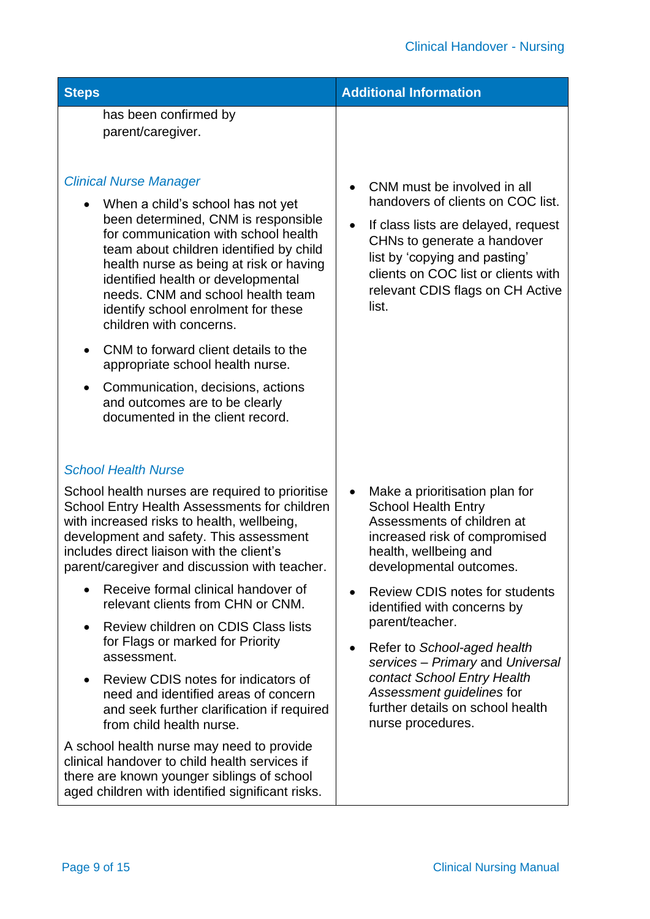| <b>Steps</b>                                                                                                                                                                                                                                                                                                                                        | <b>Additional Information</b>                                                                                                                                                                                                             |  |  |
|-----------------------------------------------------------------------------------------------------------------------------------------------------------------------------------------------------------------------------------------------------------------------------------------------------------------------------------------------------|-------------------------------------------------------------------------------------------------------------------------------------------------------------------------------------------------------------------------------------------|--|--|
| has been confirmed by<br>parent/caregiver.<br><b>Clinical Nurse Manager</b>                                                                                                                                                                                                                                                                         | CNM must be involved in all                                                                                                                                                                                                               |  |  |
| When a child's school has not yet<br>been determined, CNM is responsible<br>for communication with school health<br>team about children identified by child<br>health nurse as being at risk or having<br>identified health or developmental<br>needs. CNM and school health team<br>identify school enrolment for these<br>children with concerns. | handovers of clients on COC list.<br>If class lists are delayed, request<br>$\bullet$<br>CHNs to generate a handover<br>list by 'copying and pasting'<br>clients on COC list or clients with<br>relevant CDIS flags on CH Active<br>list. |  |  |
| CNM to forward client details to the<br>appropriate school health nurse.<br>Communication, decisions, actions<br>$\bullet$<br>and outcomes are to be clearly<br>documented in the client record.                                                                                                                                                    |                                                                                                                                                                                                                                           |  |  |
| <b>School Health Nurse</b>                                                                                                                                                                                                                                                                                                                          |                                                                                                                                                                                                                                           |  |  |
| School health nurses are required to prioritise<br>School Entry Health Assessments for children<br>with increased risks to health, wellbeing,<br>development and safety. This assessment<br>includes direct liaison with the client's<br>parent/caregiver and discussion with teacher.                                                              | Make a prioritisation plan for<br>$\bullet$<br><b>School Health Entry</b><br>Assessments of children at<br>increased risk of compromised<br>health, wellbeing and<br>developmental outcomes.                                              |  |  |
| Receive formal clinical handover of<br>relevant clients from CHN or CNM.                                                                                                                                                                                                                                                                            | <b>Review CDIS notes for students</b><br>identified with concerns by                                                                                                                                                                      |  |  |
| Review children on CDIS Class lists<br>٠<br>for Flags or marked for Priority<br>assessment.                                                                                                                                                                                                                                                         | parent/teacher.<br>Refer to School-aged health<br>$\bullet$<br>services - Primary and Universal                                                                                                                                           |  |  |
| Review CDIS notes for indicators of<br>٠<br>need and identified areas of concern<br>and seek further clarification if required<br>from child health nurse.                                                                                                                                                                                          | contact School Entry Health<br>Assessment guidelines for<br>further details on school health<br>nurse procedures.                                                                                                                         |  |  |
| A school health nurse may need to provide<br>clinical handover to child health services if<br>there are known younger siblings of school<br>aged children with identified significant risks.                                                                                                                                                        |                                                                                                                                                                                                                                           |  |  |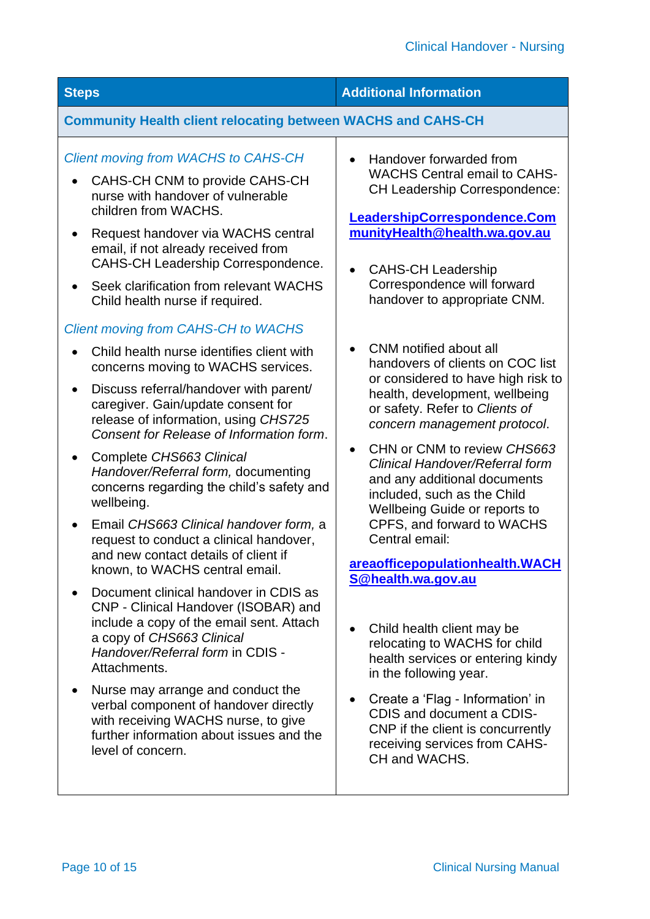| <b>Steps</b>                                                                                                                                                                                                                                                                                                                                                                                                                                                                                                                                                                                                                                                                                                                                                                                                                                                                                                                                                                                                                                                                                                                                                                                                                                                                                                                                                                                                            | <b>Additional Information</b>                                                                                                                                                                                                                                                                                                                                                                                                                                                                                                                                                                                                                                                                                                                                                                                                                                                                                                                                                                                                                                                                                  |  |  |
|-------------------------------------------------------------------------------------------------------------------------------------------------------------------------------------------------------------------------------------------------------------------------------------------------------------------------------------------------------------------------------------------------------------------------------------------------------------------------------------------------------------------------------------------------------------------------------------------------------------------------------------------------------------------------------------------------------------------------------------------------------------------------------------------------------------------------------------------------------------------------------------------------------------------------------------------------------------------------------------------------------------------------------------------------------------------------------------------------------------------------------------------------------------------------------------------------------------------------------------------------------------------------------------------------------------------------------------------------------------------------------------------------------------------------|----------------------------------------------------------------------------------------------------------------------------------------------------------------------------------------------------------------------------------------------------------------------------------------------------------------------------------------------------------------------------------------------------------------------------------------------------------------------------------------------------------------------------------------------------------------------------------------------------------------------------------------------------------------------------------------------------------------------------------------------------------------------------------------------------------------------------------------------------------------------------------------------------------------------------------------------------------------------------------------------------------------------------------------------------------------------------------------------------------------|--|--|
| <b>Community Health client relocating between WACHS and CAHS-CH</b>                                                                                                                                                                                                                                                                                                                                                                                                                                                                                                                                                                                                                                                                                                                                                                                                                                                                                                                                                                                                                                                                                                                                                                                                                                                                                                                                                     |                                                                                                                                                                                                                                                                                                                                                                                                                                                                                                                                                                                                                                                                                                                                                                                                                                                                                                                                                                                                                                                                                                                |  |  |
| <b>Client moving from WACHS to CAHS-CH</b><br>CAHS-CH CNM to provide CAHS-CH<br>nurse with handover of vulnerable<br>children from WACHS.<br>Request handover via WACHS central<br>$\bullet$<br>email, if not already received from<br><b>CAHS-CH Leadership Correspondence.</b><br>Seek clarification from relevant WACHS<br>$\bullet$<br>Child health nurse if required.<br><b>Client moving from CAHS-CH to WACHS</b><br>Child health nurse identifies client with<br>concerns moving to WACHS services.<br>Discuss referral/handover with parent/<br>$\bullet$<br>caregiver. Gain/update consent for<br>release of information, using CHS725<br>Consent for Release of Information form.<br>Complete CHS663 Clinical<br>$\bullet$<br>Handover/Referral form, documenting<br>concerns regarding the child's safety and<br>wellbeing.<br>Email CHS663 Clinical handover form, a<br>request to conduct a clinical handover,<br>and new contact details of client if<br>known, to WACHS central email.<br>Document clinical handover in CDIS as<br>CNP - Clinical Handover (ISOBAR) and<br>include a copy of the email sent. Attach<br>a copy of CHS663 Clinical<br>Handover/Referral form in CDIS -<br>Attachments.<br>Nurse may arrange and conduct the<br>$\bullet$<br>verbal component of handover directly<br>with receiving WACHS nurse, to give<br>further information about issues and the<br>level of concern. | Handover forwarded from<br>$\bullet$<br><b>WACHS Central email to CAHS-</b><br><b>CH Leadership Correspondence:</b><br>LeadershipCorrespondence.Com<br>munityHealth@health.wa.gov.au<br><b>CAHS-CH Leadership</b><br>$\bullet$<br>Correspondence will forward<br>handover to appropriate CNM.<br><b>CNM</b> notified about all<br>handovers of clients on COC list<br>or considered to have high risk to<br>health, development, wellbeing<br>or safety. Refer to Clients of<br>concern management protocol.<br>CHN or CNM to review CHS663<br>$\bullet$<br><b>Clinical Handover/Referral form</b><br>and any additional documents<br>included, such as the Child<br>Wellbeing Guide or reports to<br>CPFS, and forward to WACHS<br>Central email:<br>areaofficepopulationhealth.WACH<br>S@health.wa.gov.au<br>Child health client may be<br>relocating to WACHS for child<br>health services or entering kindy<br>in the following year.<br>Create a 'Flag - Information' in<br>$\bullet$<br>CDIS and document a CDIS-<br>CNP if the client is concurrently<br>receiving services from CAHS-<br>CH and WACHS. |  |  |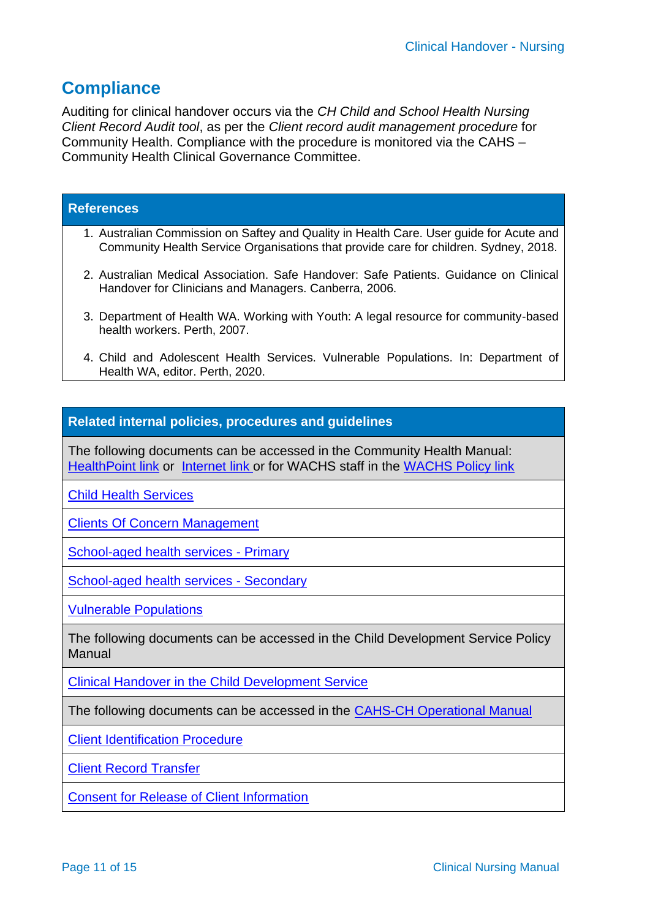#### **Compliance**

Auditing for clinical handover occurs via the *CH Child and School Health Nursing Client Record Audit tool*, as per the *Client record audit management procedure* for Community Health. Compliance with the procedure is monitored via the CAHS – Community Health Clinical Governance Committee.

#### **References**

- 1. Australian Commission on Saftey and Quality in Health Care. User guide for Acute and Community Health Service Organisations that provide care for children. Sydney, 2018.
- 2. Australian Medical Association. Safe Handover: Safe Patients. Guidance on Clinical Handover for Clinicians and Managers. Canberra, 2006.
- 3. Department of Health WA. Working with Youth: A legal resource for community-based health workers. Perth, 2007.
- 4. Child and Adolescent Health Services. Vulnerable Populations. In: Department of Health WA, editor. Perth, 2020.

#### **Related internal policies, procedures and guidelines**

The following documents can be accessed in the Community Health Manual: [HealthPoint link](https://healthpoint.hdwa.health.wa.gov.au/policies/Pages/CACH-Community-Health.aspx) or [Internet](https://www.cahs.health.wa.gov.au/en/For-health-professionals/Resources/Community-Health-Clinical-Nursing-Manual) link or for WACHS staff in the [WACHS Policy link](https://healthpoint.hdwa.health.wa.gov.au/policies/Pages/WACHS%20Policy%20Pages/WACHS-Policies.aspx)

[Child Health Services](https://healthpoint.hdwa.health.wa.gov.au/policies/Policies/CAHS/CACH.CH.ChildHealthServicesPolicy.pdf) 

[Clients Of Concern Management](https://healthpoint.hdwa.health.wa.gov.au/policies/Policies/CAHS/CACH.CHSH.ClientsOfConcernManagement.pdf)

[School-aged health services -](https://healthpoint.hdwa.health.wa.gov.au/policies/Policies/CAHS/CACH.SH.SchoolagedHealthServicesPrimary.pdf) Primary

[School-aged health services -](https://healthpoint.hdwa.health.wa.gov.au/policies/Policies/CAHS/CACH.SH.SchoolagedHealthServicesSecondary.pdf) Secondary

[Vulnerable Populations](https://healthpoint.hdwa.health.wa.gov.au/policies/Policies/CAHS/CACH.CHSH.VulnerablePopulations.pdf)

The following documents can be accessed in the [Child Development Service Policy](https://healthpoint.hdwa.health.wa.gov.au/policies/Pages/CACH-Operational-Policies.aspx)  [Manual](https://healthpoint.hdwa.health.wa.gov.au/policies/Pages/CACH-Operational-Policies.aspx)

[Clinical Handover in the Child Development Service](https://healthpoint.hdwa.health.wa.gov.au/policies/Policies/CAHS/CACH.CDS.ClinicalHandoverInCDS.pdf)

The following documents can be accessed in the CAHS-CH [Operational Manual](https://healthpoint.hdwa.health.wa.gov.au/policies/Pages/CACH-Operational-Policies.aspx)

[Client Identification Procedure](https://healthpoint.hdwa.health.wa.gov.au/policies/Policies/CAHS/CACH.MW.ClientIdentification.pdf)

[Client Record Transfer](https://healthpoint.hdwa.health.wa.gov.au/policies/Policies/CAHS/CACH.MW.ClientRecordTransfer.pdf)

[Consent for Release of Client Information](https://healthpoint.hdwa.health.wa.gov.au/policies/Policies/CAHS/CACH.AW.Pr57%20Consent%20for%20Release%20of%20Client%20Information.pdf)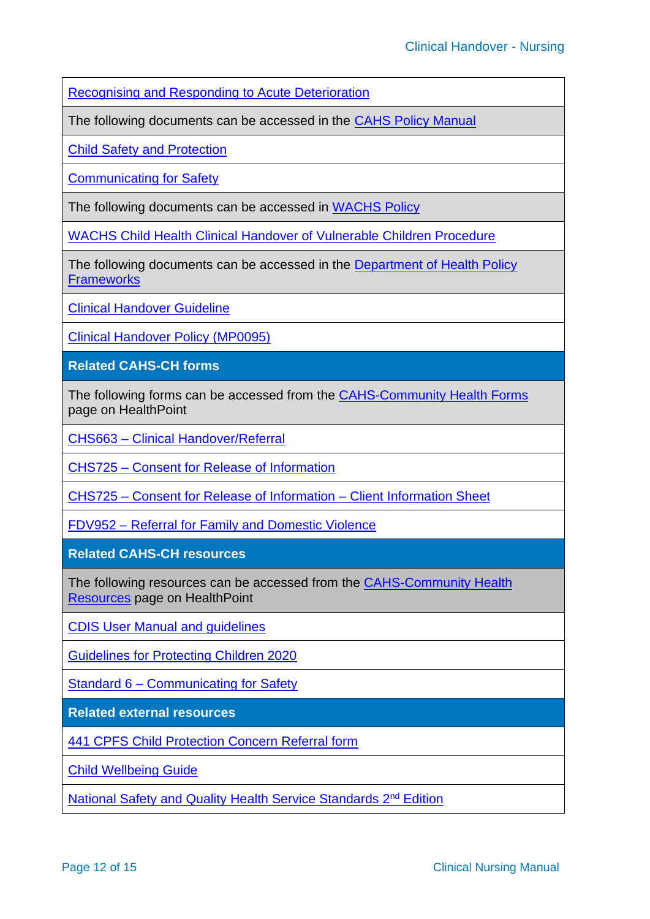[Recognising and Responding to Acute Deterioration](https://healthpoint.hdwa.health.wa.gov.au/policies/Policies/CAHS/CACH.MW.DeteriorationInHealthStatus-UnexpectedAcute.pdf)

The following documents can be accessed in the [CAHS Policy Manual](https://healthpoint.hdwa.health.wa.gov.au/policies/Pages/CAHS-Policies-Corporate.aspx)

[Child Safety and Protection](https://healthpoint.hdwa.health.wa.gov.au/policies/Policies/CAHS/CAHS.PM.ChildProtection.pdf)

[Communicating for Safety](https://healthpoint.hdwa.health.wa.gov.au/policies/Policies/CAHS/CAHS.PM.CommunicatingForSafety.pdf)

The following documents can be accessed in [WACHS Policy](https://healthpoint.hdwa.health.wa.gov.au/policies/Pages/WACHS%20Policy%20Pages/WACHS-Policies.aspx) 

[WACHS Child Health Clinical Handover of Vulnerable Children Procedure](https://healthpoint.hdwa.health.wa.gov.au/policies/Policies/WACHS/Child%20Health%20Clinical%20Handover%20of%20Vulnerable%20Children%20Procedure.pdf)

The following documents can be accessed in the [Department of Health Policy](https://ww2.health.wa.gov.au/About-us/Policy-Frameworks)  **[Frameworks](https://ww2.health.wa.gov.au/About-us/Policy-Frameworks)** 

[Clinical Handover Guideline](https://ww2.health.wa.gov.au/-/media/Files/Corporate/general-documents/Quality/PDF/Clinical-Handover-Guideline.pdf)

[Clinical Handover Policy \(MP0095\)](https://ww2.health.wa.gov.au/About-us/Policy-frameworks/Clinical-Governance-Safety-and-Quality/Mandatory-requirements/Clinical-Handover-Policy)

**Related CAHS-CH forms**

The following forms can be accessed from the [CAHS-Community Health Forms](https://cahs-healthpoint.hdwa.health.wa.gov.au/cach/forms/Pages/default.aspx) page on HealthPoint

CHS663 – [Clinical Handover/Referral](https://cahs-healthpoint.hdwa.health.wa.gov.au/cach/forms/Child%20Health%20Documents/Statewide/CHS663_Clinical_handover_-_referral_form_FNL.pdf)

CHS725 – [Consent for Release of Information](https://cahs-healthpoint.hdwa.health.wa.gov.au/cach/forms/Consent%20Documents/CHS725_Consent_for_release_of_information_FNL.pdf)

CHS725 – [Consent for Release of Information –](https://cahs-healthpoint.hdwa.health.wa.gov.au/cach/forms/Consent%20Documents/CHS725_parent_information_supplement.pdf) Client Information Sheet

FDV952 – [Referral for Family and Domestic Violence](https://www.kemh.health.wa.gov.au/~/media/Files/Hospitals/WNHS/Our%20Services/State-wide%20Services/WHSP/Referral%20for%20Family%20and%20Domestic%20Violence.pdf)

**Related CAHS-CH resources**

The following resources can be accessed from the [CAHS-Community Health](https://cahs-healthpoint.hdwa.health.wa.gov.au/cach/resources/Pages/default.aspx)  [Resources](https://cahs-healthpoint.hdwa.health.wa.gov.au/cach/resources/Pages/default.aspx) page on HealthPoint

[CDIS User Manual and guidelines](https://cahs-healthpoint.hdwa.health.wa.gov.au/cach/About-Us/Information-Systems-and-Performance/Pages/Child-Development-Information-System-(CDIS).aspx) 

[Guidelines for Protecting Children 2020](https://cahs-healthpoint.hdwa.health.wa.gov.au/directory/SPOCC/Pages/Guidelines-for-Protecting-Children.aspx)

Standard 6 – [Communicating for Safety](https://cahs-healthpoint.hdwa.health.wa.gov.au/cach/Safety-and-Quality/Pages/Standard-6---Communicating-for-Safety.aspx)

**Related external resources**

[441 CPFS Child Protection Concern Referral form](https://www.dcp.wa.gov.au/ChildProtection/Pages/Ifyouareconcernedaboutachild.aspx)

[Child Wellbeing Guide](https://ww2.health.wa.gov.au/~/media/Files/Corporate/general%20documents/Child%20protection/PDF/Child_wellbeing_Guide_assessing_for_neglect.ashx)

[National Safety and Quality Health Service Standards 2](https://www.safetyandquality.gov.au/sites/default/files/2019-04/National-Safety-and-Quality-Health-Service-Standards-second-edition.pdf)<sup>nd</sup> Edition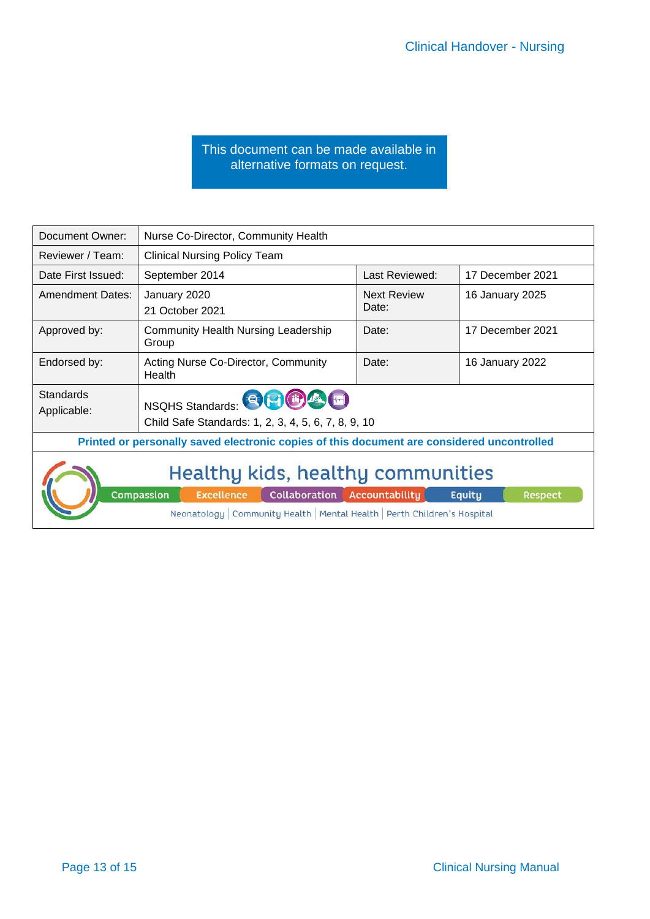#### This document can be made available in alternative formats on request.

<span id="page-12-0"></span>

| Document Owner:                                                                                                                                                                                                | Nurse Co-Director, Community Health                 |                             |                  |
|----------------------------------------------------------------------------------------------------------------------------------------------------------------------------------------------------------------|-----------------------------------------------------|-----------------------------|------------------|
| Reviewer / Team:                                                                                                                                                                                               | <b>Clinical Nursing Policy Team</b>                 |                             |                  |
| Date First Issued:                                                                                                                                                                                             | September 2014                                      | Last Reviewed:              | 17 December 2021 |
| <b>Amendment Dates:</b>                                                                                                                                                                                        | January 2020<br>21 October 2021                     | <b>Next Review</b><br>Date: | 16 January 2025  |
| Approved by:                                                                                                                                                                                                   | <b>Community Health Nursing Leadership</b><br>Group | Date:                       | 17 December 2021 |
| Endorsed by:                                                                                                                                                                                                   | Acting Nurse Co-Director, Community<br>Health       | Date:                       | 16 January 2022  |
| <b>Standards</b><br>NSQHS Standards: <b>EDITOLE</b><br>Applicable:<br>Child Safe Standards: 1, 2, 3, 4, 5, 6, 7, 8, 9, 10                                                                                      |                                                     |                             |                  |
| Printed or personally saved electronic copies of this document are considered uncontrolled                                                                                                                     |                                                     |                             |                  |
| Healthy kids, healthy communities<br>Compassion<br>Collaboration Accountability<br><b>Excellence</b><br>Equity<br><b>Respect</b><br>Neonatology   Community Health   Mental Health   Perth Children's Hospital |                                                     |                             |                  |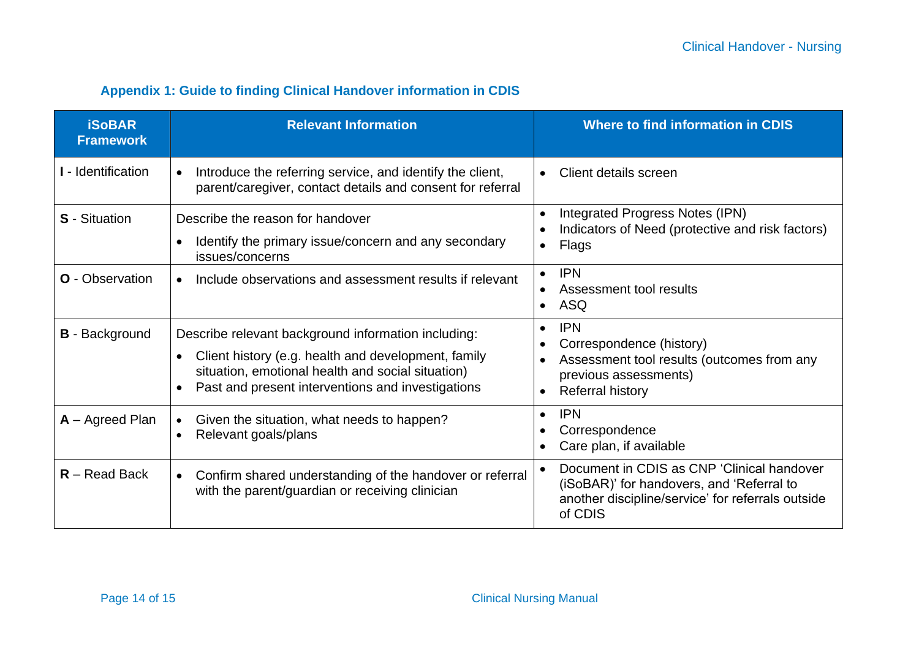#### **Appendix 1: Guide to finding Clinical Handover information in CDIS**

| <b>iSoBAR</b><br><b>Framework</b> | <b>Relevant Information</b>                                                                                                                                                                                          | <b>Where to find information in CDIS</b>                                                                                                                                 |
|-----------------------------------|----------------------------------------------------------------------------------------------------------------------------------------------------------------------------------------------------------------------|--------------------------------------------------------------------------------------------------------------------------------------------------------------------------|
| I - Identification                | Introduce the referring service, and identify the client,<br>parent/caregiver, contact details and consent for referral                                                                                              | Client details screen<br>$\bullet$                                                                                                                                       |
| <b>S</b> - Situation              | Describe the reason for handover<br>Identify the primary issue/concern and any secondary<br>issues/concerns                                                                                                          | Integrated Progress Notes (IPN)<br>$\bullet$<br>Indicators of Need (protective and risk factors)<br>Flags<br>$\bullet$                                                   |
| <b>O</b> - Observation            | Include observations and assessment results if relevant<br>$\bullet$                                                                                                                                                 | <b>IPN</b><br>$\bullet$<br>Assessment tool results<br><b>ASQ</b><br>$\bullet$                                                                                            |
| <b>B</b> - Background             | Describe relevant background information including:<br>Client history (e.g. health and development, family<br>situation, emotional health and social situation)<br>Past and present interventions and investigations | <b>IPN</b><br>$\bullet$<br>Correspondence (history)<br>Assessment tool results (outcomes from any<br>$\bullet$<br>previous assessments)<br>Referral history<br>$\bullet$ |
| $A -$ Agreed Plan                 | Given the situation, what needs to happen?<br>$\bullet$<br>Relevant goals/plans                                                                                                                                      | <b>IPN</b><br>$\bullet$<br>Correspondence<br>Care plan, if available                                                                                                     |
| $R - Read$ Back                   | Confirm shared understanding of the handover or referral<br>$\bullet$<br>with the parent/guardian or receiving clinician                                                                                             | Document in CDIS as CNP 'Clinical handover<br>$\bullet$<br>(iSoBAR)' for handovers, and 'Referral to<br>another discipline/service' for referrals outside<br>of CDIS     |